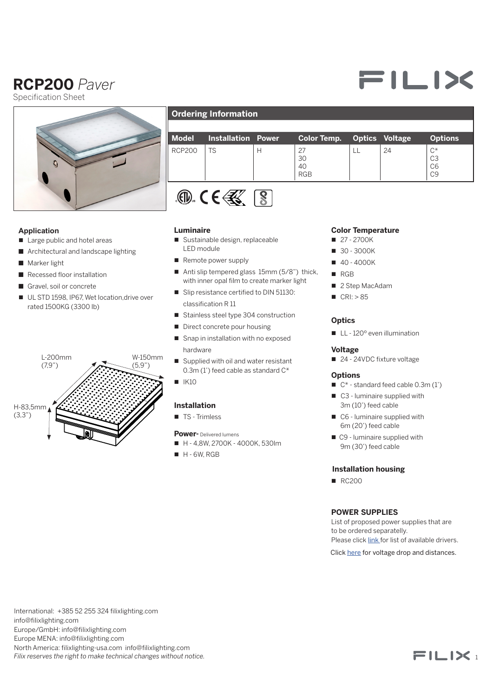# **RCP200** *Paver*

Specification Sheet



# **Ordering Information**

|               | Model Installation Power | Color Temp.  Optics Voltage |    | <b>Options</b>                                  |
|---------------|--------------------------|-----------------------------|----|-------------------------------------------------|
| <b>RCP200</b> | <b>TS</b>                | 30<br>40<br><b>RGB</b>      | 24 | $C^*$<br>C3<br>C <sub>6</sub><br>C <sub>9</sub> |



## **Application**

- $\Box$  Large public and hotel areas
- Architectural and landscape lighting rge pu<br>chitec<br>arker l
- Marker light
- Recessed floor installation
- Gravel, soil or concrete
- UL STD 1598, IP67, Wet location, drive over rated 1500KG (3300 lb)



#### **Luminaire**

- sustainable design, replaceable LED module
- $\blacksquare$  Remote power supply
- Anti slip tempered glass  $15$ mm (5/8") thick, with inner opal film to create marker light
- Slip resistance certified to DIN 51130: classification R 11
- Stainless steel type 304 construction ■ Stainless steel type 304 con
	- $\blacksquare$  Direct concrete pour housing
	- Snap in installation with no exposed hardware
	- $\Box$  Supplied with oil and water resistant 0.3m (1') feed cable as standard C\*
	- $N = 1K10$

# **Installation**

- TS Trimless
- **Power-** Delivered lumens
	- H 4,8W, 2700K 4000K, 530lm
	- $H 6W$ , RGB

#### **Color Temperature**

- $\blacksquare$  27 2700K
- 30 3000K
- $140 4000K$
- **n** RGB
- 2 Step MacAdam
- $CRI: > 85$

#### **Optics**

 $\blacksquare$  LL - 120 $\degree$  even illumination

#### **Voltage**

■ 24 - 24VDC fixture voltage

#### **Options**

- $C^*$  standard feed cable 0.3m (1')
- $\Box$  C3 luminaire supplied with 3m (10') feed cable
- C6 luminaire supplied with 6m (20') feed cable
- C9 luminaire supplied with 9m (30') feed cable

## **Installation housing**

 $RC200$ 

#### **POWER SUPPLIES**

List of proposed power supplies that are to be ordered separatelly. Please click [link](https://www.filixlighting.com/userfiles/files/List%20of%20power%20supply.pdf) for list of available drivers.

Click [here](https://direct.lc.chat/11747922/) for voltage drop and distances.

International: +385 52 255 324 filixlighting.com 2 info@filixlighting.com Europe/GmbH: info@filixlighting.com Europe MENA: info@filixlighting.com North America: filixlighting-usa.com info@filixlighting.com *Filix reserves the right to make technical changes without notice.*

 $FILIX$ 

FILIX